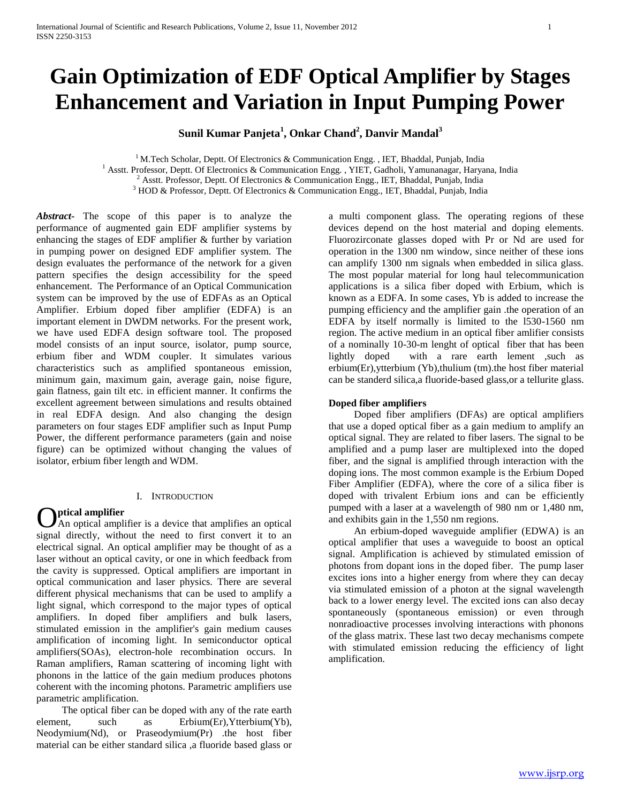# **Gain Optimization of EDF Optical Amplifier by Stages Enhancement and Variation in Input Pumping Power**

**Sunil Kumar Panjeta<sup>1</sup> , Onkar Chand<sup>2</sup> , Danvir Mandal<sup>3</sup>**

<sup>1</sup> M.Tech Scholar, Deptt. Of Electronics & Communication Engg., IET, Bhaddal, Punjab, India <sup>1</sup> Asstt. Professor, Deptt. Of Electronics & Communication Engg., YIET, Gadholi, Yamunanagar, Haryana, India  $^{2}$  Asstt. Professor, Deptt. Of Electronics & Communication Engg., IET, Bhaddal, Punjab, India <sup>3</sup> HOD & Professor, Deptt. Of Electronics & Communication Engg., IET, Bhaddal, Punjab, India

*Abstract***-** The scope of this paper is to analyze the performance of augmented gain EDF amplifier systems by enhancing the stages of EDF amplifier & further by variation in pumping power on designed EDF amplifier system. The design evaluates the performance of the network for a given pattern specifies the design accessibility for the speed enhancement. The Performance of an Optical Communication system can be improved by the use of EDFAs as an Optical Amplifier. Erbium doped fiber amplifier (EDFA) is an important element in DWDM networks. For the present work, we have used EDFA design software tool. The proposed model consists of an input source, isolator, pump source, erbium fiber and WDM coupler. It simulates various characteristics such as amplified spontaneous emission, minimum gain, maximum gain, average gain, noise figure, gain flatness, gain tilt etc. in efficient manner. It confirms the excellent agreement between simulations and results obtained in real EDFA design. And also changing the design parameters on four stages EDF amplifier such as Input Pump Power, the different performance parameters (gain and noise figure) can be optimized without changing the values of isolator, erbium fiber length and WDM.

## I. INTRODUCTION

**ptical amplifier** An optical amplifier is a device that amplifies an optical **Optical amplifier**<br>signal directly, without the need to first convert it to an electrical signal. An optical amplifier may be thought of as a laser without an optical cavity, or one in which feedback from the cavity is suppressed. Optical amplifiers are important in optical communication and laser physics. There are several different physical mechanisms that can be used to amplify a light signal, which correspond to the major types of optical amplifiers. In doped fiber amplifiers and bulk lasers, stimulated emission in the amplifier's gain medium causes amplification of incoming light. In semiconductor optical amplifiers(SOAs), electron-hole recombination occurs. In Raman amplifiers, Raman scattering of incoming light with phonons in the lattice of the gain medium produces photons coherent with the incoming photons. Parametric amplifiers use parametric amplification.

 The optical fiber can be doped with any of the rate earth element, such as Erbium(Er),Ytterbium(Yb), Neodymium(Nd), or Praseodymium(Pr) .the host fiber material can be either standard silica ,a fluoride based glass or

a multi component glass. The operating regions of these devices depend on the host material and doping elements. Fluorozirconate glasses doped with Pr or Nd are used for operation in the 1300 nm window, since neither of these ions can amplify 1300 nm signals when embedded in silica glass. The most popular material for long haul telecommunication applications is a silica fiber doped with Erbium, which is known as a EDFA. In some cases, Yb is added to increase the pumping efficiency and the amplifier gain .the operation of an EDFA by itself normally is limited to the l530-1560 nm region. The active medium in an optical fiber amlifier consists of a nominally 10-30-m lenght of optical fiber that has been lightly doped with a rare earth lement ,such as erbium(Er),ytterbium (Yb),thulium (tm).the host fiber material can be standerd silica,a fluoride-based glass,or a tellurite glass.

## **Doped fiber amplifiers**

 Doped fiber amplifiers (DFAs) are optical amplifiers that use a doped optical fiber as a gain medium to amplify an optical signal. They are related to fiber lasers. The signal to be amplified and a pump laser are multiplexed into the doped fiber, and the signal is amplified through interaction with the doping ions. The most common example is the Erbium Doped Fiber Amplifier (EDFA), where the core of a silica fiber is doped with trivalent Erbium ions and can be efficiently pumped with a laser at a wavelength of 980 nm or 1,480 nm, and exhibits gain in the 1,550 nm regions.

 An erbium-doped waveguide amplifier (EDWA) is an optical amplifier that uses a waveguide to boost an optical signal. Amplification is achieved by stimulated emission of photons from dopant ions in the doped fiber. The pump laser excites ions into a higher energy from where they can decay via stimulated emission of a photon at the signal wavelength back to a lower energy level. The excited ions can also decay spontaneously (spontaneous emission) or even through nonradioactive processes involving interactions with phonons of the glass matrix. These last two decay mechanisms compete with stimulated emission reducing the efficiency of light amplification.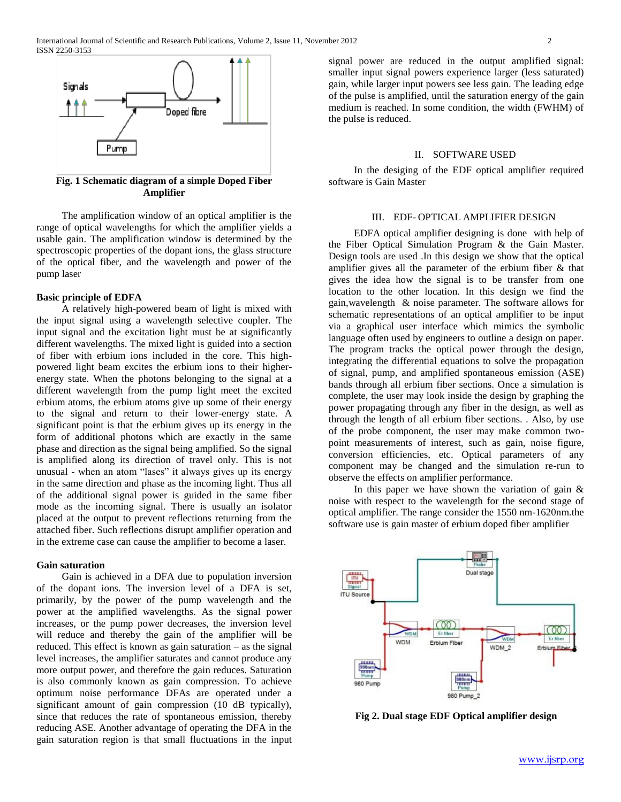

**Fig. 1 Schematic diagram of a simple Doped Fiber Amplifier**

 The amplification window of an optical amplifier is the range of optical wavelengths for which the amplifier yields a usable gain. The amplification window is determined by the spectroscopic properties of the dopant ions, the glass structure of the optical fiber, and the wavelength and power of the pump laser

#### **Basic principle of EDFA**

 A relatively high-powered beam of light is mixed with the input signal using a wavelength selective coupler. The input signal and the excitation light must be at significantly different wavelengths. The mixed light is guided into a section of fiber with erbium ions included in the core. This highpowered light beam excites the erbium ions to their higherenergy state. When the photons belonging to the signal at a different wavelength from the pump light meet the excited erbium atoms, the erbium atoms give up some of their energy to the signal and return to their lower-energy state. A significant point is that the erbium gives up its energy in the form of additional photons which are exactly in the same phase and direction as the signal being amplified. So the signal is amplified along its direction of travel only. This is not unusual - when an atom "lases" it always gives up its energy in the same direction and phase as the incoming light. Thus all of the additional signal power is guided in the same fiber mode as the incoming signal. There is usually an isolator placed at the output to prevent reflections returning from the attached fiber. Such reflections disrupt amplifier operation and in the extreme case can cause the amplifier to become a laser.

#### **Gain saturation**

 Gain is achieved in a DFA due to population inversion of the dopant ions. The inversion level of a DFA is set, primarily, by the power of the pump wavelength and the power at the amplified wavelengths. As the signal power increases, or the pump power decreases, the inversion level will reduce and thereby the gain of the amplifier will be reduced. This effect is known as gain saturation – as the signal level increases, the amplifier saturates and cannot produce any more output power, and therefore the gain reduces. Saturation is also commonly known as gain compression. To achieve optimum noise performance DFAs are operated under a significant amount of gain compression (10 dB typically), since that reduces the rate of spontaneous emission, thereby reducing ASE. Another advantage of operating the DFA in the gain saturation region is that small fluctuations in the input

signal power are reduced in the output amplified signal: smaller input signal powers experience larger (less saturated) gain, while larger input powers see less gain. The leading edge of the pulse is amplified, until the saturation energy of the gain medium is reached. In some condition, the width (FWHM) of the pulse is reduced.

#### II. SOFTWARE USED

 In the desiging of the EDF optical amplifier required software is Gain Master

## III. EDF- OPTICAL AMPLIFIER DESIGN

 EDFA optical amplifier designing is done with help of the Fiber Optical Simulation Program & the Gain Master. Design tools are used .In this design we show that the optical amplifier gives all the parameter of the erbium fiber & that gives the idea how the signal is to be transfer from one location to the other location. In this design we find the gain,wavelength & noise parameter. The software allows for schematic representations of an optical amplifier to be input via a graphical user interface which mimics the symbolic language often used by engineers to outline a design on paper. The program tracks the optical power through the design, integrating the differential equations to solve the propagation of signal, pump, and amplified spontaneous emission (ASE) bands through all erbium fiber sections. Once a simulation is complete, the user may look inside the design by graphing the power propagating through any fiber in the design, as well as through the length of all erbium fiber sections. . Also, by use of the probe component, the user may make common twopoint measurements of interest, such as gain, noise figure, conversion efficiencies, etc. Optical parameters of any component may be changed and the simulation re-run to observe the effects on amplifier performance.

In this paper we have shown the variation of gain  $\&$ noise with respect to the wavelength for the second stage of optical amplifier. The range consider the 1550 nm-1620nm.the software use is gain master of erbium doped fiber amplifier



**Fig 2. Dual stage EDF Optical amplifier design**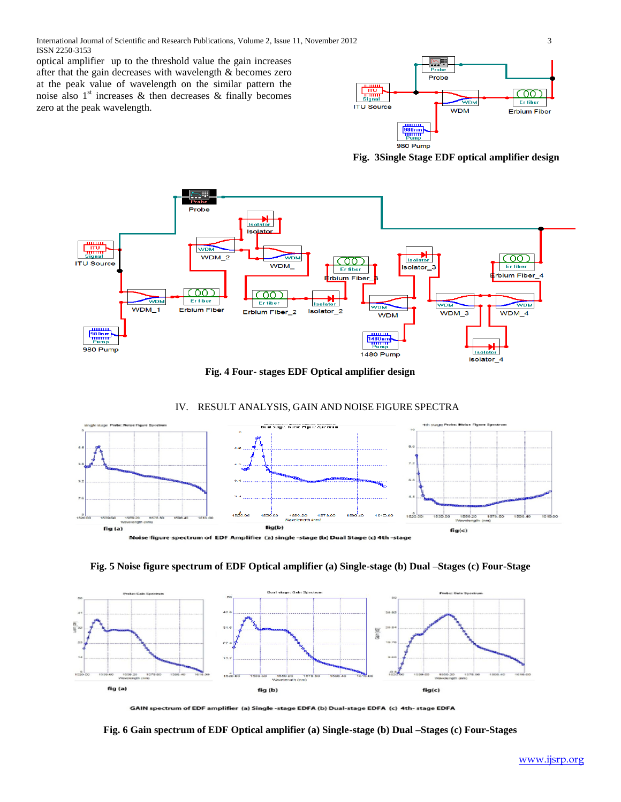International Journal of Scientific and Research Publications, Volume 2, Issue 11, November 2012 3 ISSN 2250-3153

optical amplifier up to the threshold value the gain increases after that the gain decreases with wavelength & becomes zero at the peak value of wavelength on the similar pattern the noise also  $1<sup>st</sup>$  increases & then decreases & finally becomes zero at the peak wavelength.



**Fig. 3Single Stage EDF optical amplifier design**



**Fig. 4 Four- stages EDF Optical amplifier design**

## IV. RESULT ANALYSIS, GAIN AND NOISE FIGURE SPECTRA



.<br>Noise figure spectrum of EDF Amplifier (a) single -stage (b) Dual Stage (c) 4th -stage

## **Fig. 5 Noise figure spectrum of EDF Optical amplifier (a) Single-stage (b) Dual –Stages (c) Four-Stage**



GAIN spectrum of EDF amplifier (a) Single -stage EDFA (b) Dual-stage EDFA (c) 4th- stage EDFA

**Fig. 6 Gain spectrum of EDF Optical amplifier (a) Single-stage (b) Dual –Stages (c) Four-Stages**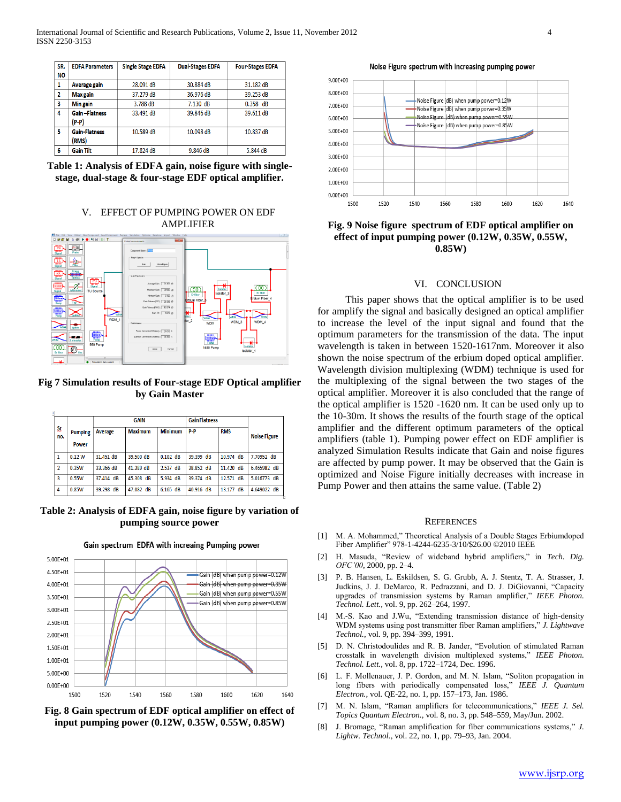| SR.<br><b>NO</b> | <b>EDFA Parameters</b>        | <b>Single Stage EDFA</b> | <b>Dual-Stages EDFA</b> | <b>Four-Stages EDFA</b> |
|------------------|-------------------------------|--------------------------|-------------------------|-------------------------|
| 1                | Average gain                  | 28.091 dB                | 30.884 dB               | 31.182 dB               |
| 2                | <b>Max</b> gain               | 37.279 dB                | 36.976 dB               | 39.253 dB               |
| 3                | Min gain                      | 3.788 dB                 | $7.130$ dB              | $0.358$ dB              |
| 4                | <b>Gain-Flatness</b><br>(P-P) | 33.491 dB                | 39.846 dB               | 39.611 dB               |
| 5                | <b>Gain-Flatness</b><br>(RMS) | 10.589 dB                | 10.098 dB               | 10.837 dB               |
| 6                | <b>Gain Tilt</b>              | 17.824 dB                | 9.846 dB                | 5.844 dB                |

**Table 1: Analysis of EDFA gain, noise figure with singlestage, dual-stage & four-stage EDF optical amplifier.**

## V. EFFECT OF PUMPING POWER ON EDF AMPLIFIER



**Fig 7 Simulation results of Four-stage EDF Optical amplifier by Gain Master**

| Sr.<br>no.     |                                | <b>GAIN</b>  |                | <b>Gain Flatness</b> |           |              |                     |
|----------------|--------------------------------|--------------|----------------|----------------------|-----------|--------------|---------------------|
|                | <b>Pumping</b><br><b>Power</b> | Average      | <b>Maximum</b> | <b>Minimum</b>       | p.p       | <b>RMS</b>   | <b>Noise Figure</b> |
| 1              | 0.12 W                         | 31.451 dB    | 39.500 dB      | $0.102$ dB           | 39.399 dB | 10.974 dB    | 7.70952 dB          |
| $\overline{2}$ | 0.35W                          | 33.366 dB    | 41.389 dB      | $2.537$ dB           | 38,852 dB | 11.420 dB    | 6.465982 dB         |
| 3              | 0.55W                          | 37.414 dB    | 45.308 dB      | $5.934$ dB           | 39.374 dB | 12.571 dB    | 5.016773 dB         |
| 4              | 0.85W                          | dB<br>39.298 | 47.082 dB      | $6.165$ dB           | 40.916 dB | dB<br>13.177 | 4.649022 dB         |

**Table 2: Analysis of EDFA gain, noise figure by variation of pumping source power**



Gain spectrum EDFA with increaing Pumping power

Noise Figure spectrum with increasing pumping power



**Fig. 9 Noise figure spectrum of EDF optical amplifier on effect of input pumping power (0.12W, 0.35W, 0.55W, 0.85W)**

#### VI. CONCLUSION

 This paper shows that the optical amplifier is to be used for amplify the signal and basically designed an optical amplifier to increase the level of the input signal and found that the optimum parameters for the transmission of the data. The input wavelength is taken in between 1520-1617nm. Moreover it also shown the noise spectrum of the erbium doped optical amplifier. Wavelength division multiplexing (WDM) technique is used for the multiplexing of the signal between the two stages of the optical amplifier. Moreover it is also concluded that the range of the optical amplifier is 1520 -1620 nm. It can be used only up to the 10-30m. It shows the results of the fourth stage of the optical amplifier and the different optimum parameters of the optical amplifiers (table 1). Pumping power effect on EDF amplifier is analyzed Simulation Results indicate that Gain and noise figures are affected by pump power. It may be observed that the Gain is optimized and Noise Figure initially decreases with increase in Pump Power and then attains the same value. (Table 2)

#### **REFERENCES**

- [1] M. A. Mohammed," Theoretical Analysis of a Double Stages Erbiumdoped Fiber Amplifier" 978-1-4244-6235-3/10/\$26.00 ©2010 IEEE
- [2] H. Masuda, "Review of wideband hybrid amplifiers," in *Tech. Dig. OFC'00*, 2000, pp. 2–4.
- [3] P. B. Hansen, L. Eskildsen, S. G. Grubb, A. J. Stentz, T. A. Strasser, J. Judkins, J. J. DeMarco, R. Pedrazzani, and D. J. DiGiovanni, "Capacity upgrades of transmission systems by Raman amplifier," *IEEE Photon. Technol. Lett.*, vol. 9, pp. 262–264, 1997.
- [4] M.-S. Kao and J.Wu, "Extending transmission distance of high-density WDM systems using post transmitter fiber Raman amplifiers," *J. Lightwave Technol.*, vol. 9, pp. 394–399, 1991.
- [5] D. N. Christodoulides and R. B. Jander, "Evolution of stimulated Raman crosstalk in wavelength division multiplexed systems," *IEEE Photon. Technol. Lett.*, vol. 8, pp. 1722–1724, Dec. 1996.
- [6] L. F. Mollenauer, J. P. Gordon, and M. N. Islam, "Soliton propagation in long fibers with periodically compensated loss," *IEEE J. Quantum Electron.*, vol. QE-22, no. 1, pp. 157–173, Jan. 1986.
- [7] M. N. Islam, "Raman amplifiers for telecommunications," *IEEE J. Sel. Topics Quantum Electron.*, vol. 8, no. 3, pp. 548–559, May/Jun. 2002.
- [8] J. Bromage, "Raman amplification for fiber communications systems," *J. Lightw. Technol.*, vol. 22, no. 1, pp. 79–93, Jan. 2004.

**Fig. 8 Gain spectrum of EDF optical amplifier on effect of input pumping power (0.12W, 0.35W, 0.55W, 0.85W)**